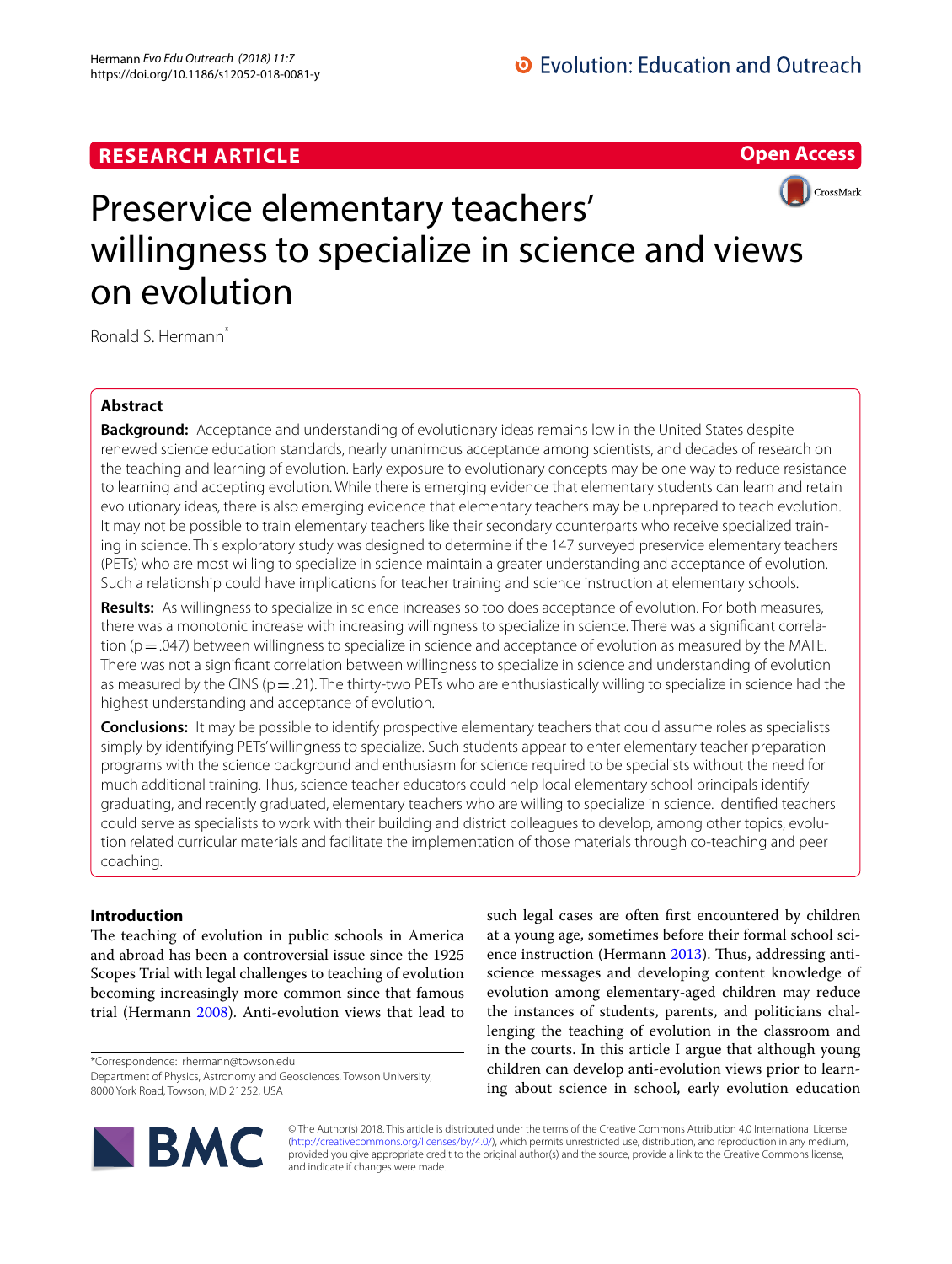## **RESEARCH ARTICLE**



CrossMark

# Preservice elementary teachers' willingness to specialize in science and views on evolution

Ronald S. Hermann\*

## **Abstract**

**Background:** Acceptance and understanding of evolutionary ideas remains low in the United States despite renewed science education standards, nearly unanimous acceptance among scientists, and decades of research on the teaching and learning of evolution. Early exposure to evolutionary concepts may be one way to reduce resistance to learning and accepting evolution. While there is emerging evidence that elementary students can learn and retain evolutionary ideas, there is also emerging evidence that elementary teachers may be unprepared to teach evolution. It may not be possible to train elementary teachers like their secondary counterparts who receive specialized training in science. This exploratory study was designed to determine if the 147 surveyed preservice elementary teachers (PETs) who are most willing to specialize in science maintain a greater understanding and acceptance of evolution. Such a relationship could have implications for teacher training and science instruction at elementary schools.

**Results:** As willingness to specialize in science increases so too does acceptance of evolution. For both measures, there was a monotonic increase with increasing willingness to specialize in science. There was a signifcant correlation (p = .047) between willingness to specialize in science and acceptance of evolution as measured by the MATE. There was not a signifcant correlation between willingness to specialize in science and understanding of evolution as measured by the CINS ( $p = 0.21$ ). The thirty-two PETs who are enthusiastically willing to specialize in science had the highest understanding and acceptance of evolution.

**Conclusions:** It may be possible to identify prospective elementary teachers that could assume roles as specialists simply by identifying PETs' willingness to specialize. Such students appear to enter elementary teacher preparation programs with the science background and enthusiasm for science required to be specialists without the need for much additional training. Thus, science teacher educators could help local elementary school principals identify graduating, and recently graduated, elementary teachers who are willing to specialize in science. Identifed teachers could serve as specialists to work with their building and district colleagues to develop, among other topics, evolution related curricular materials and facilitate the implementation of those materials through co-teaching and peer coaching.

## **Introduction**

The teaching of evolution in public schools in America and abroad has been a controversial issue since the 1925 Scopes Trial with legal challenges to teaching of evolution becoming increasingly more common since that famous trial (Hermann [2008\)](#page-10-0). Anti-evolution views that lead to

\*Correspondence: rhermann@towson.edu

such legal cases are often frst encountered by children at a young age, sometimes before their formal school sci-ence instruction (Hermann [2013](#page-10-1)). Thus, addressing antiscience messages and developing content knowledge of evolution among elementary-aged children may reduce the instances of students, parents, and politicians challenging the teaching of evolution in the classroom and in the courts. In this article I argue that although young children can develop anti-evolution views prior to learning about science in school, early evolution education



© The Author(s) 2018. This article is distributed under the terms of the Creative Commons Attribution 4.0 International License [\(http://creativecommons.org/licenses/by/4.0/\)](http://creativecommons.org/licenses/by/4.0/), which permits unrestricted use, distribution, and reproduction in any medium, provided you give appropriate credit to the original author(s) and the source, provide a link to the Creative Commons license, and indicate if changes were made.

Department of Physics, Astronomy and Geosciences, Towson University, 8000 York Road, Towson, MD 21252, USA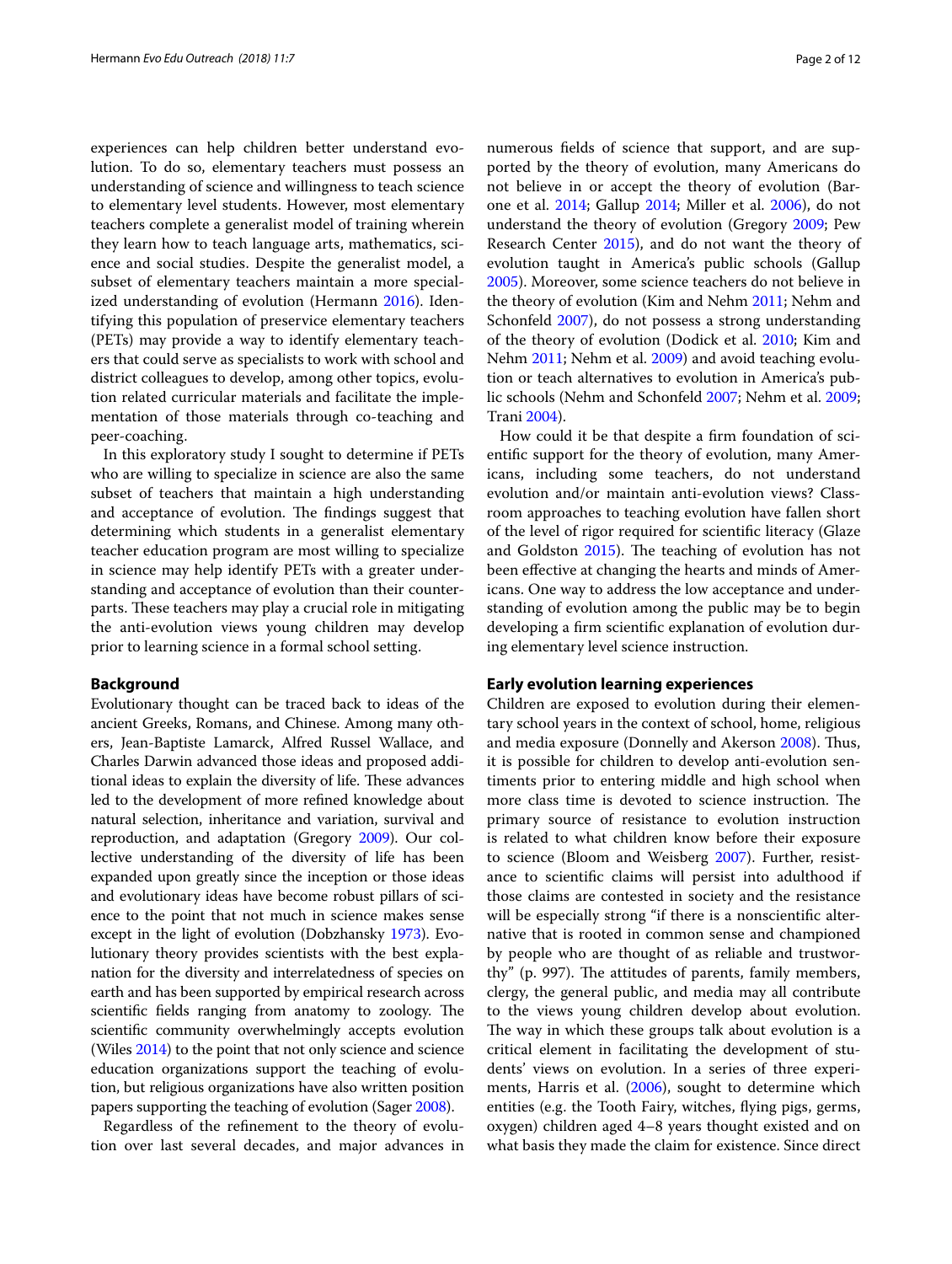experiences can help children better understand evolution. To do so, elementary teachers must possess an understanding of science and willingness to teach science to elementary level students. However, most elementary teachers complete a generalist model of training wherein they learn how to teach language arts, mathematics, science and social studies. Despite the generalist model, a subset of elementary teachers maintain a more specialized understanding of evolution (Hermann [2016\)](#page-10-2). Identifying this population of preservice elementary teachers (PETs) may provide a way to identify elementary teachers that could serve as specialists to work with school and district colleagues to develop, among other topics, evolution related curricular materials and facilitate the implementation of those materials through co-teaching and peer-coaching.

In this exploratory study I sought to determine if PETs who are willing to specialize in science are also the same subset of teachers that maintain a high understanding and acceptance of evolution. The findings suggest that determining which students in a generalist elementary teacher education program are most willing to specialize in science may help identify PETs with a greater understanding and acceptance of evolution than their counterparts. These teachers may play a crucial role in mitigating the anti-evolution views young children may develop prior to learning science in a formal school setting.

#### **Background**

Evolutionary thought can be traced back to ideas of the ancient Greeks, Romans, and Chinese. Among many others, Jean-Baptiste Lamarck, Alfred Russel Wallace, and Charles Darwin advanced those ideas and proposed additional ideas to explain the diversity of life. These advances led to the development of more refned knowledge about natural selection, inheritance and variation, survival and reproduction, and adaptation (Gregory [2009\)](#page-11-0). Our collective understanding of the diversity of life has been expanded upon greatly since the inception or those ideas and evolutionary ideas have become robust pillars of science to the point that not much in science makes sense except in the light of evolution (Dobzhansky [1973](#page-10-3)). Evolutionary theory provides scientists with the best explanation for the diversity and interrelatedness of species on earth and has been supported by empirical research across scientific fields ranging from anatomy to zoology. The scientifc community overwhelmingly accepts evolution (Wiles [2014](#page-11-1)) to the point that not only science and science education organizations support the teaching of evolution, but religious organizations have also written position papers supporting the teaching of evolution (Sager [2008](#page-11-2)).

Regardless of the refnement to the theory of evolution over last several decades, and major advances in numerous felds of science that support, and are supported by the theory of evolution, many Americans do not believe in or accept the theory of evolution (Barone et al. [2014](#page-10-4); Gallup [2014;](#page-11-3) Miller et al. [2006\)](#page-11-4), do not understand the theory of evolution (Gregory [2009;](#page-11-0) Pew Research Center [2015](#page-11-5)), and do not want the theory of evolution taught in America's public schools (Gallup [2005](#page-11-6)). Moreover, some science teachers do not believe in the theory of evolution (Kim and Nehm [2011;](#page-11-7) Nehm and Schonfeld [2007](#page-11-8)), do not possess a strong understanding of the theory of evolution (Dodick et al. [2010;](#page-10-5) Kim and Nehm [2011;](#page-11-7) Nehm et al. [2009](#page-11-9)) and avoid teaching evolution or teach alternatives to evolution in America's public schools (Nehm and Schonfeld [2007;](#page-11-8) Nehm et al. [2009](#page-11-9); Trani [2004\)](#page-11-10).

How could it be that despite a frm foundation of scientifc support for the theory of evolution, many Americans, including some teachers, do not understand evolution and/or maintain anti-evolution views? Classroom approaches to teaching evolution have fallen short of the level of rigor required for scientifc literacy (Glaze and Goldston [2015](#page-11-11)). The teaching of evolution has not been effective at changing the hearts and minds of Americans. One way to address the low acceptance and understanding of evolution among the public may be to begin developing a frm scientifc explanation of evolution during elementary level science instruction.

#### **Early evolution learning experiences**

Children are exposed to evolution during their elementary school years in the context of school, home, religious and media exposure (Donnelly and Akerson [2008\)](#page-10-6). Thus, it is possible for children to develop anti-evolution sentiments prior to entering middle and high school when more class time is devoted to science instruction. The primary source of resistance to evolution instruction is related to what children know before their exposure to science (Bloom and Weisberg [2007](#page-10-7)). Further, resistance to scientifc claims will persist into adulthood if those claims are contested in society and the resistance will be especially strong "if there is a nonscientifc alternative that is rooted in common sense and championed by people who are thought of as reliable and trustworthy" (p. 997). The attitudes of parents, family members, clergy, the general public, and media may all contribute to the views young children develop about evolution. The way in which these groups talk about evolution is a critical element in facilitating the development of students' views on evolution. In a series of three experi-ments, Harris et al. ([2006](#page-11-12)), sought to determine which entities (e.g. the Tooth Fairy, witches, fying pigs, germs, oxygen) children aged 4–8 years thought existed and on what basis they made the claim for existence. Since direct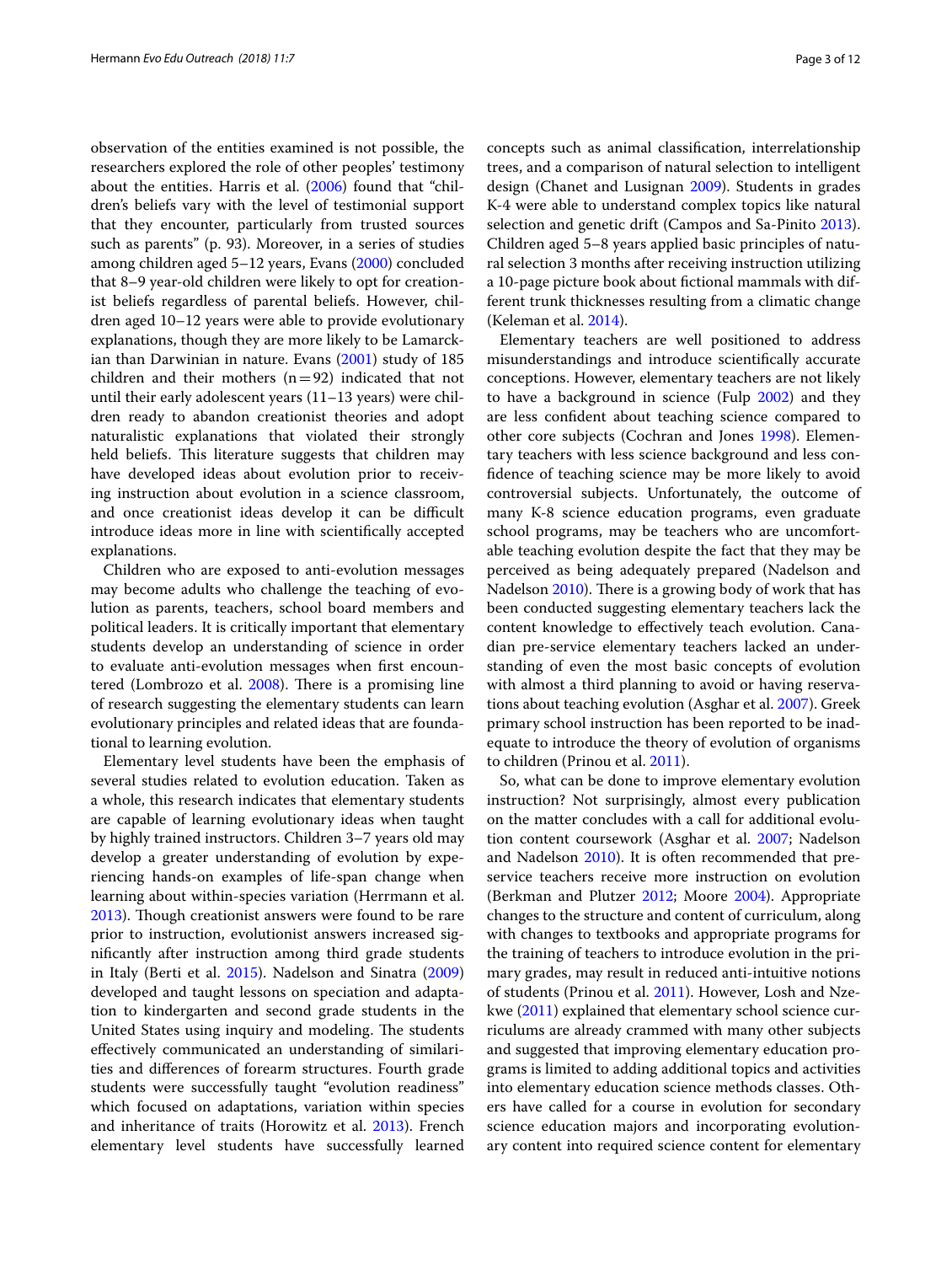observation of the entities examined is not possible, the researchers explored the role of other peoples' testimony about the entities. Harris et al. [\(2006](#page-11-12)) found that "children's beliefs vary with the level of testimonial support that they encounter, particularly from trusted sources such as parents" (p. 93). Moreover, in a series of studies among children aged 5–12 years, Evans ([2000\)](#page-11-13) concluded that 8–9 year-old children were likely to opt for creationist beliefs regardless of parental beliefs. However, children aged 10–12 years were able to provide evolutionary explanations, though they are more likely to be Lamarckian than Darwinian in nature. Evans [\(2001](#page-11-14)) study of 185 children and their mothers  $(n=92)$  indicated that not until their early adolescent years (11–13 years) were children ready to abandon creationist theories and adopt naturalistic explanations that violated their strongly held beliefs. This literature suggests that children may have developed ideas about evolution prior to receiving instruction about evolution in a science classroom, and once creationist ideas develop it can be difficult introduce ideas more in line with scientifcally accepted explanations.

Children who are exposed to anti-evolution messages may become adults who challenge the teaching of evolution as parents, teachers, school board members and political leaders. It is critically important that elementary students develop an understanding of science in order to evaluate anti-evolution messages when frst encoun-tered (Lombrozo et al. [2008](#page-11-15)). There is a promising line of research suggesting the elementary students can learn evolutionary principles and related ideas that are foundational to learning evolution.

Elementary level students have been the emphasis of several studies related to evolution education. Taken as a whole, this research indicates that elementary students are capable of learning evolutionary ideas when taught by highly trained instructors. Children 3–7 years old may develop a greater understanding of evolution by experiencing hands-on examples of life-span change when learning about within-species variation (Herrmann et al. [2013](#page-11-16)). Though creationist answers were found to be rare prior to instruction, evolutionist answers increased signifcantly after instruction among third grade students in Italy (Berti et al. [2015](#page-10-8)). Nadelson and Sinatra ([2009](#page-11-17)) developed and taught lessons on speciation and adaptation to kindergarten and second grade students in the United States using inquiry and modeling. The students efectively communicated an understanding of similarities and diferences of forearm structures. Fourth grade students were successfully taught "evolution readiness" which focused on adaptations, variation within species and inheritance of traits (Horowitz et al. [2013\)](#page-11-18). French elementary level students have successfully learned concepts such as animal classifcation, interrelationship trees, and a comparison of natural selection to intelligent design (Chanet and Lusignan [2009](#page-10-9)). Students in grades K-4 were able to understand complex topics like natural selection and genetic drift (Campos and Sa-Pinito [2013](#page-10-10)). Children aged 5–8 years applied basic principles of natural selection 3 months after receiving instruction utilizing a 10-page picture book about fctional mammals with different trunk thicknesses resulting from a climatic change (Keleman et al. [2014\)](#page-11-19).

Elementary teachers are well positioned to address misunderstandings and introduce scientifcally accurate conceptions. However, elementary teachers are not likely to have a background in science (Fulp [2002\)](#page-11-20) and they are less confdent about teaching science compared to other core subjects (Cochran and Jones [1998](#page-10-11)). Elementary teachers with less science background and less confdence of teaching science may be more likely to avoid controversial subjects. Unfortunately, the outcome of many K-8 science education programs, even graduate school programs, may be teachers who are uncomfortable teaching evolution despite the fact that they may be perceived as being adequately prepared (Nadelson and Nadelson [2010](#page-11-21)). There is a growing body of work that has been conducted suggesting elementary teachers lack the content knowledge to efectively teach evolution. Canadian pre-service elementary teachers lacked an understanding of even the most basic concepts of evolution with almost a third planning to avoid or having reservations about teaching evolution (Asghar et al. [2007](#page-10-12)). Greek primary school instruction has been reported to be inadequate to introduce the theory of evolution of organisms to children (Prinou et al. [2011](#page-11-22)).

So, what can be done to improve elementary evolution instruction? Not surprisingly, almost every publication on the matter concludes with a call for additional evolution content coursework (Asghar et al. [2007;](#page-10-12) Nadelson and Nadelson [2010](#page-11-21)). It is often recommended that preservice teachers receive more instruction on evolution (Berkman and Plutzer [2012;](#page-10-13) Moore [2004](#page-11-23)). Appropriate changes to the structure and content of curriculum, along with changes to textbooks and appropriate programs for the training of teachers to introduce evolution in the primary grades, may result in reduced anti-intuitive notions of students (Prinou et al. [2011\)](#page-11-22). However, Losh and Nzekwe ([2011](#page-11-24)) explained that elementary school science curriculums are already crammed with many other subjects and suggested that improving elementary education programs is limited to adding additional topics and activities into elementary education science methods classes. Others have called for a course in evolution for secondary science education majors and incorporating evolutionary content into required science content for elementary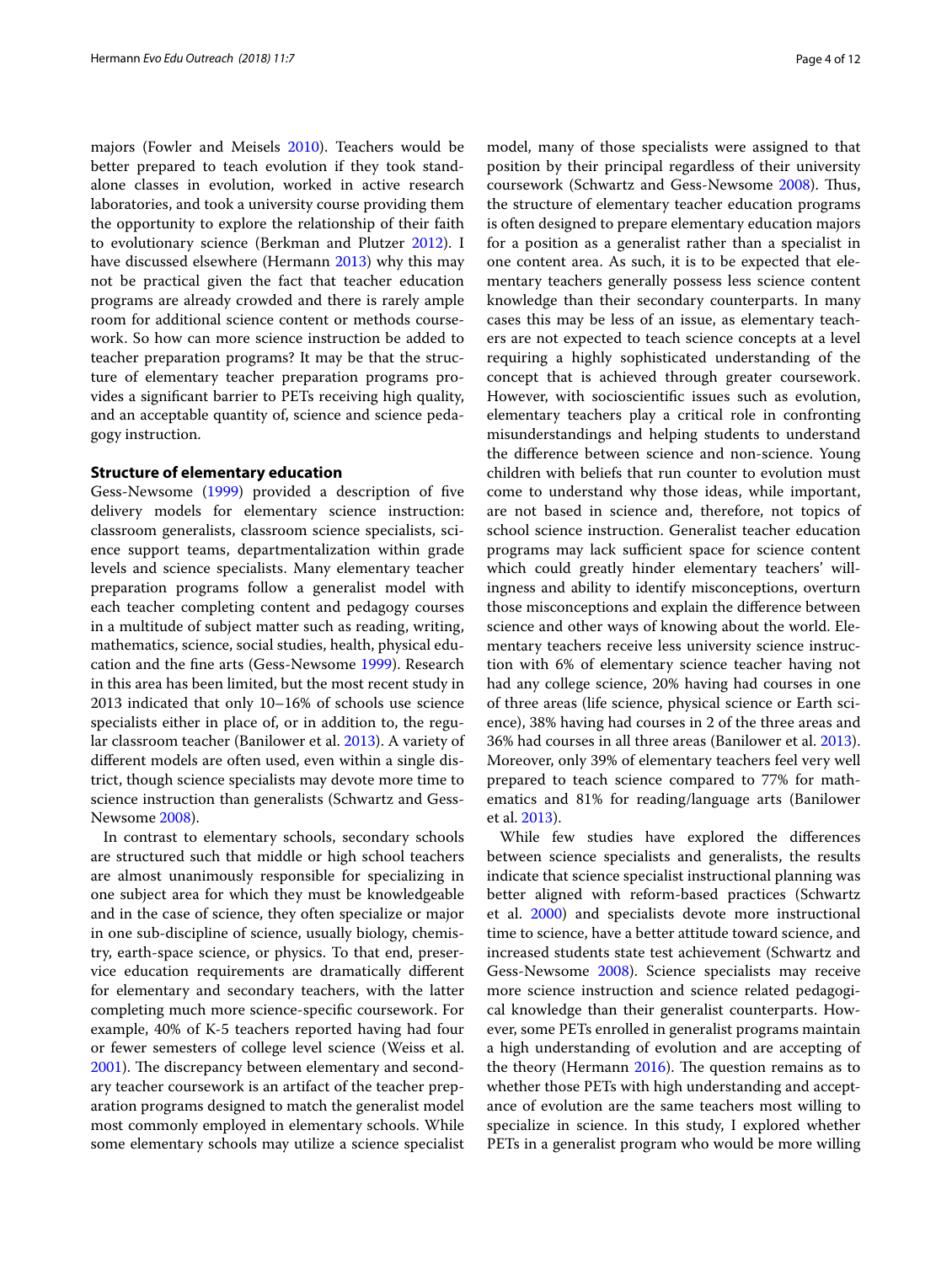majors (Fowler and Meisels [2010\)](#page-11-25). Teachers would be better prepared to teach evolution if they took standalone classes in evolution, worked in active research laboratories, and took a university course providing them the opportunity to explore the relationship of their faith to evolutionary science (Berkman and Plutzer [2012](#page-10-13)). I have discussed elsewhere (Hermann [2013](#page-10-1)) why this may not be practical given the fact that teacher education programs are already crowded and there is rarely ample room for additional science content or methods coursework. So how can more science instruction be added to teacher preparation programs? It may be that the structure of elementary teacher preparation programs provides a signifcant barrier to PETs receiving high quality, and an acceptable quantity of, science and science pedagogy instruction.

### **Structure of elementary education**

Gess-Newsome ([1999](#page-11-26)) provided a description of fve delivery models for elementary science instruction: classroom generalists, classroom science specialists, science support teams, departmentalization within grade levels and science specialists. Many elementary teacher preparation programs follow a generalist model with each teacher completing content and pedagogy courses in a multitude of subject matter such as reading, writing, mathematics, science, social studies, health, physical education and the fne arts (Gess-Newsome [1999](#page-11-26)). Research in this area has been limited, but the most recent study in 2013 indicated that only 10–16% of schools use science specialists either in place of, or in addition to, the regular classroom teacher (Banilower et al. [2013\)](#page-10-14). A variety of diferent models are often used, even within a single district, though science specialists may devote more time to science instruction than generalists (Schwartz and Gess-Newsome [2008](#page-11-27)).

In contrast to elementary schools, secondary schools are structured such that middle or high school teachers are almost unanimously responsible for specializing in one subject area for which they must be knowledgeable and in the case of science, they often specialize or major in one sub-discipline of science, usually biology, chemistry, earth-space science, or physics. To that end, preservice education requirements are dramatically diferent for elementary and secondary teachers, with the latter completing much more science-specifc coursework. For example, 40% of K-5 teachers reported having had four or fewer semesters of college level science (Weiss et al. [2001](#page-11-28)). The discrepancy between elementary and secondary teacher coursework is an artifact of the teacher preparation programs designed to match the generalist model most commonly employed in elementary schools. While some elementary schools may utilize a science specialist model, many of those specialists were assigned to that position by their principal regardless of their university coursework (Schwartz and Gess-Newsome [2008](#page-11-27)). Thus, the structure of elementary teacher education programs is often designed to prepare elementary education majors for a position as a generalist rather than a specialist in one content area. As such, it is to be expected that elementary teachers generally possess less science content knowledge than their secondary counterparts. In many cases this may be less of an issue, as elementary teachers are not expected to teach science concepts at a level requiring a highly sophisticated understanding of the concept that is achieved through greater coursework. However, with socioscientifc issues such as evolution, elementary teachers play a critical role in confronting misunderstandings and helping students to understand the diference between science and non-science. Young children with beliefs that run counter to evolution must come to understand why those ideas, while important, are not based in science and, therefore, not topics of school science instruction. Generalist teacher education programs may lack sufficient space for science content which could greatly hinder elementary teachers' willingness and ability to identify misconceptions, overturn those misconceptions and explain the diference between science and other ways of knowing about the world. Elementary teachers receive less university science instruction with 6% of elementary science teacher having not had any college science, 20% having had courses in one of three areas (life science, physical science or Earth science), 38% having had courses in 2 of the three areas and 36% had courses in all three areas (Banilower et al. [2013](#page-10-14)). Moreover, only 39% of elementary teachers feel very well prepared to teach science compared to 77% for mathematics and 81% for reading/language arts (Banilower et al. [2013](#page-10-14)).

While few studies have explored the diferences between science specialists and generalists, the results indicate that science specialist instructional planning was better aligned with reform-based practices (Schwartz et al. [2000\)](#page-11-29) and specialists devote more instructional time to science, have a better attitude toward science, and increased students state test achievement (Schwartz and Gess-Newsome [2008\)](#page-11-27). Science specialists may receive more science instruction and science related pedagogical knowledge than their generalist counterparts. However, some PETs enrolled in generalist programs maintain a high understanding of evolution and are accepting of the theory (Hermann  $2016$ ). The question remains as to whether those PETs with high understanding and acceptance of evolution are the same teachers most willing to specialize in science. In this study, I explored whether PETs in a generalist program who would be more willing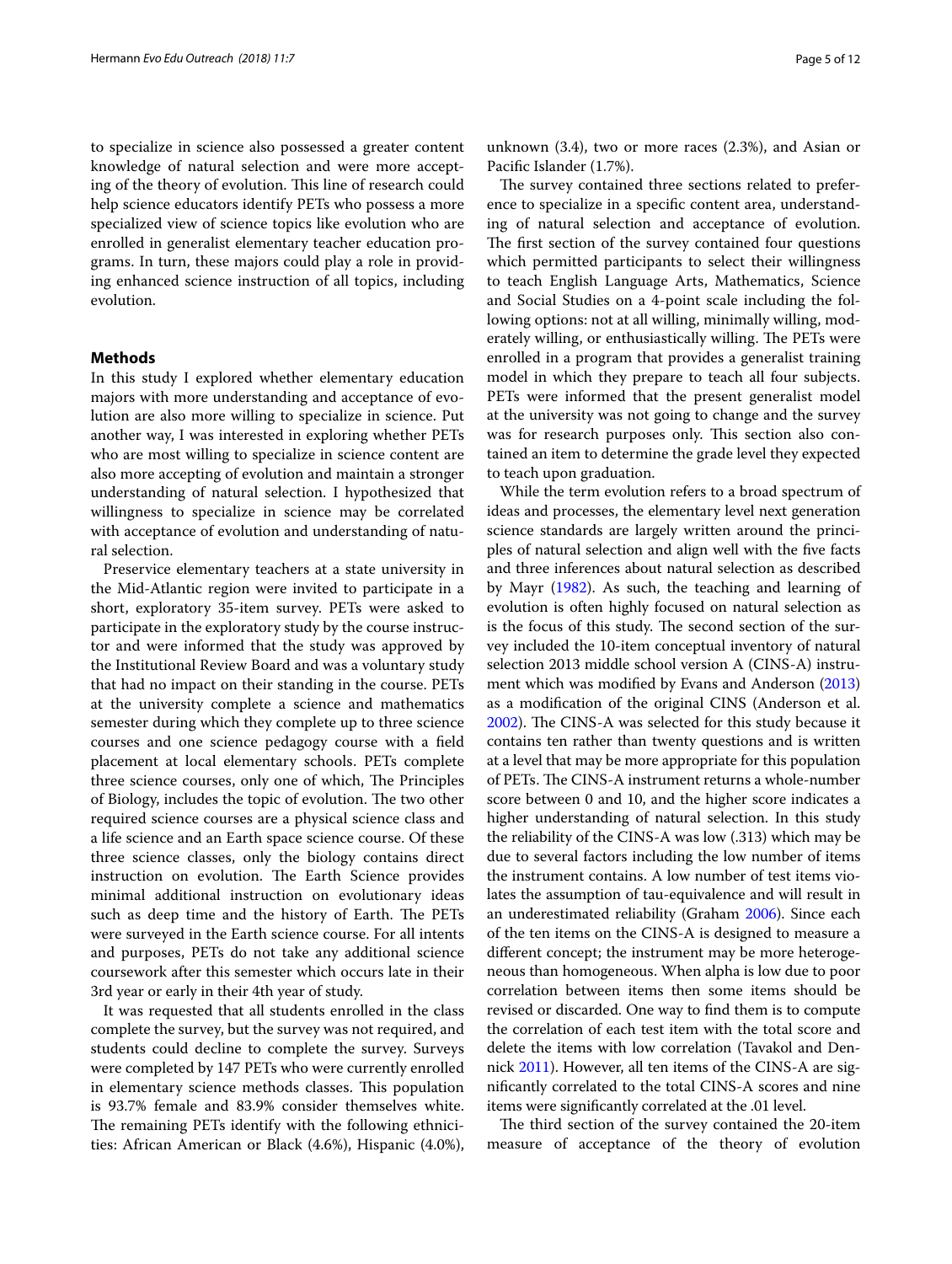to specialize in science also possessed a greater content knowledge of natural selection and were more accepting of the theory of evolution. This line of research could help science educators identify PETs who possess a more specialized view of science topics like evolution who are enrolled in generalist elementary teacher education programs. In turn, these majors could play a role in providing enhanced science instruction of all topics, including evolution.

### **Methods**

In this study I explored whether elementary education majors with more understanding and acceptance of evolution are also more willing to specialize in science. Put another way, I was interested in exploring whether PETs who are most willing to specialize in science content are also more accepting of evolution and maintain a stronger understanding of natural selection. I hypothesized that willingness to specialize in science may be correlated with acceptance of evolution and understanding of natural selection.

Preservice elementary teachers at a state university in the Mid-Atlantic region were invited to participate in a short, exploratory 35-item survey. PETs were asked to participate in the exploratory study by the course instructor and were informed that the study was approved by the Institutional Review Board and was a voluntary study that had no impact on their standing in the course. PETs at the university complete a science and mathematics semester during which they complete up to three science courses and one science pedagogy course with a feld placement at local elementary schools. PETs complete three science courses, only one of which, The Principles of Biology, includes the topic of evolution. The two other required science courses are a physical science class and a life science and an Earth space science course. Of these three science classes, only the biology contains direct instruction on evolution. The Earth Science provides minimal additional instruction on evolutionary ideas such as deep time and the history of Earth. The PETs were surveyed in the Earth science course. For all intents and purposes, PETs do not take any additional science coursework after this semester which occurs late in their 3rd year or early in their 4th year of study.

It was requested that all students enrolled in the class complete the survey, but the survey was not required, and students could decline to complete the survey. Surveys were completed by 147 PETs who were currently enrolled in elementary science methods classes. This population is 93.7% female and 83.9% consider themselves white. The remaining PETs identify with the following ethnicities: African American or Black (4.6%), Hispanic (4.0%),

unknown (3.4), two or more races (2.3%), and Asian or Pacifc Islander (1.7%).

The survey contained three sections related to preference to specialize in a specifc content area, understanding of natural selection and acceptance of evolution. The first section of the survey contained four questions which permitted participants to select their willingness to teach English Language Arts, Mathematics, Science and Social Studies on a 4-point scale including the following options: not at all willing, minimally willing, moderately willing, or enthusiastically willing. The PETs were enrolled in a program that provides a generalist training model in which they prepare to teach all four subjects. PETs were informed that the present generalist model at the university was not going to change and the survey was for research purposes only. This section also contained an item to determine the grade level they expected to teach upon graduation.

While the term evolution refers to a broad spectrum of ideas and processes, the elementary level next generation science standards are largely written around the principles of natural selection and align well with the fve facts and three inferences about natural selection as described by Mayr ([1982](#page-11-30)). As such, the teaching and learning of evolution is often highly focused on natural selection as is the focus of this study. The second section of the survey included the 10-item conceptual inventory of natural selection 2013 middle school version A (CINS-A) instrument which was modifed by Evans and Anderson ([2013](#page-11-31)) as a modifcation of the original CINS (Anderson et al. [2002](#page-10-15)). The CINS-A was selected for this study because it contains ten rather than twenty questions and is written at a level that may be more appropriate for this population of PETs. The CINS-A instrument returns a whole-number score between 0 and 10, and the higher score indicates a higher understanding of natural selection. In this study the reliability of the CINS-A was low (.313) which may be due to several factors including the low number of items the instrument contains. A low number of test items violates the assumption of tau-equivalence and will result in an underestimated reliability (Graham [2006\)](#page-11-32). Since each of the ten items on the CINS-A is designed to measure a diferent concept; the instrument may be more heterogeneous than homogeneous. When alpha is low due to poor correlation between items then some items should be revised or discarded. One way to fnd them is to compute the correlation of each test item with the total score and delete the items with low correlation (Tavakol and Dennick [2011](#page-11-33)). However, all ten items of the CINS-A are signifcantly correlated to the total CINS-A scores and nine items were signifcantly correlated at the .01 level.

The third section of the survey contained the 20-item measure of acceptance of the theory of evolution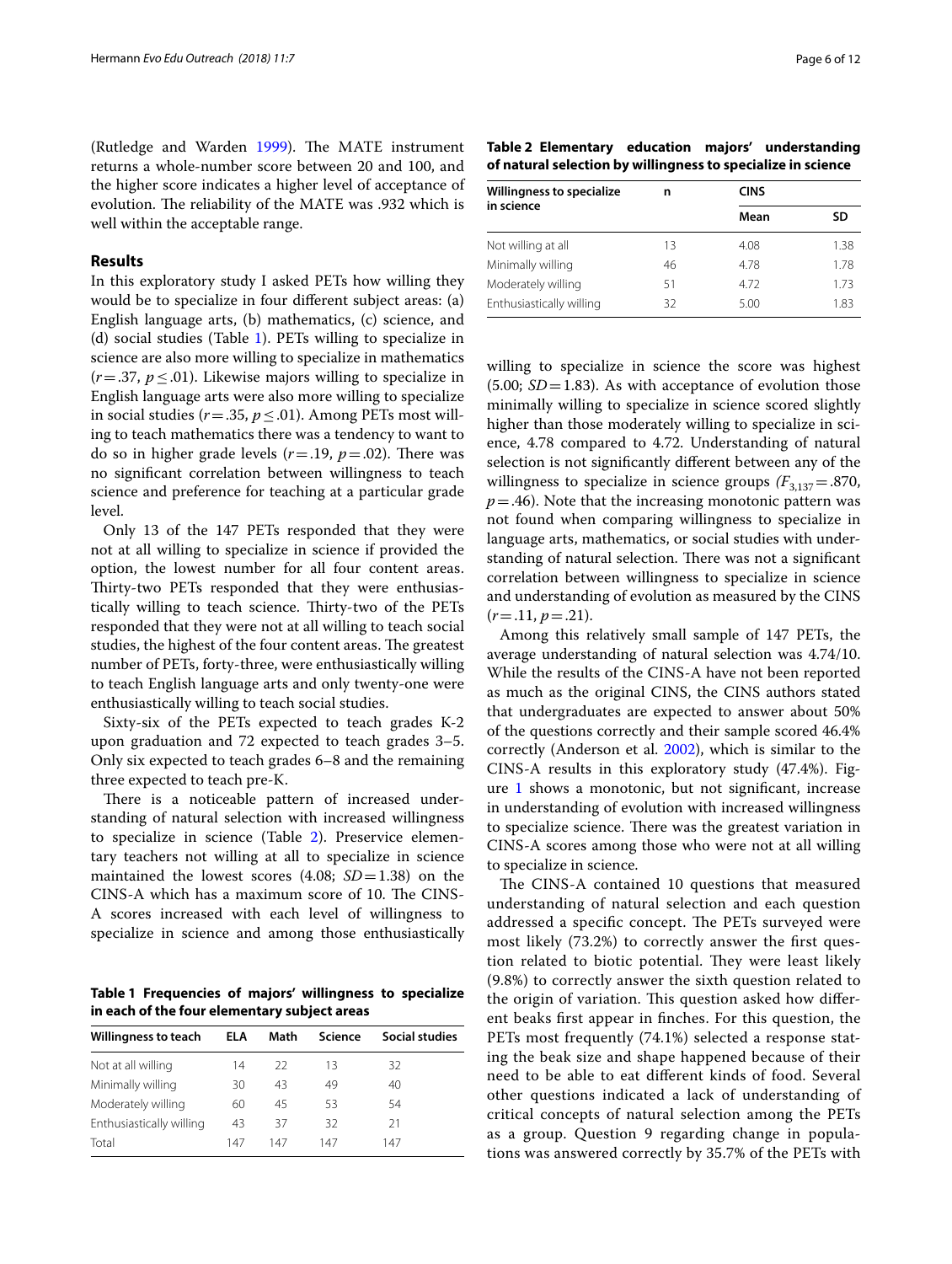(Rutledge and Warden [1999\)](#page-11-34). The MATE instrument returns a whole-number score between 20 and 100, and the higher score indicates a higher level of acceptance of evolution. The reliability of the MATE was .932 which is well within the acceptable range.

## **Results**

In this exploratory study I asked PETs how willing they would be to specialize in four diferent subject areas: (a) English language arts, (b) mathematics, (c) science, and (d) social studies (Table [1](#page-5-0)). PETs willing to specialize in science are also more willing to specialize in mathematics  $(r=.37, p \leq .01)$ . Likewise majors willing to specialize in English language arts were also more willing to specialize in social studies ( $r = .35$ ,  $p \le .01$ ). Among PETs most willing to teach mathematics there was a tendency to want to do so in higher grade levels  $(r=.19, p=.02)$ . There was no signifcant correlation between willingness to teach science and preference for teaching at a particular grade level.

Only 13 of the 147 PETs responded that they were not at all willing to specialize in science if provided the option, the lowest number for all four content areas. Thirty-two PETs responded that they were enthusiastically willing to teach science. Thirty-two of the PETs responded that they were not at all willing to teach social studies, the highest of the four content areas. The greatest number of PETs, forty-three, were enthusiastically willing to teach English language arts and only twenty-one were enthusiastically willing to teach social studies.

Sixty-six of the PETs expected to teach grades K-2 upon graduation and 72 expected to teach grades 3–5. Only six expected to teach grades 6–8 and the remaining three expected to teach pre-K.

There is a noticeable pattern of increased understanding of natural selection with increased willingness to specialize in science (Table [2](#page-5-1)). Preservice elementary teachers not willing at all to specialize in science maintained the lowest scores  $(4.08; SD=1.38)$  on the CINS-A which has a maximum score of 10. The CINS-A scores increased with each level of willingness to specialize in science and among those enthusiastically

<span id="page-5-0"></span>**Table 1 Frequencies of majors' willingness to specialize in each of the four elementary subject areas**

| Willingness to teach     | <b>ELA</b> | Math | Science | <b>Social studies</b> |
|--------------------------|------------|------|---------|-----------------------|
| Not at all willing       | 14         | 22   | 13      | 32                    |
| Minimally willing        | 30         | 43   | 49      | 40                    |
| Moderately willing       | 60         | 45   | 53      | 54                    |
| Enthusiastically willing | 43         | 37   | 32      | 21                    |
| Total                    | 147        | 147  | 147     | 147                   |

<span id="page-5-1"></span>

|                                                              |  |  |  | Table 2 Elementary education majors' understanding |  |  |
|--------------------------------------------------------------|--|--|--|----------------------------------------------------|--|--|
| of natural selection by willingness to specialize in science |  |  |  |                                                    |  |  |

| <b>Willingness to specialize</b> | n  | <b>CINS</b> |      |  |
|----------------------------------|----|-------------|------|--|
| in science                       |    | Mean        | SD   |  |
| Not willing at all               | 13 | 4.08        | 1.38 |  |
| Minimally willing                | 46 | 4.78        | 1.78 |  |
| Moderately willing               | 51 | 4.72        | 1.73 |  |
| Enthusiastically willing         | 32 | 5.00        | 1.83 |  |

willing to specialize in science the score was highest  $(5.00; SD=1.83)$ . As with acceptance of evolution those minimally willing to specialize in science scored slightly higher than those moderately willing to specialize in science, 4.78 compared to 4.72. Understanding of natural selection is not signifcantly diferent between any of the willingness to specialize in science groups  $(F_{3,137}=.870)$ ,  $p = .46$ ). Note that the increasing monotonic pattern was not found when comparing willingness to specialize in language arts, mathematics, or social studies with understanding of natural selection. There was not a significant correlation between willingness to specialize in science and understanding of evolution as measured by the CINS  $(r=.11, p=.21).$ 

Among this relatively small sample of 147 PETs, the average understanding of natural selection was 4.74/10. While the results of the CINS-A have not been reported as much as the original CINS, the CINS authors stated that undergraduates are expected to answer about 50% of the questions correctly and their sample scored 46.4% correctly (Anderson et al. [2002](#page-10-15)), which is similar to the CINS-A results in this exploratory study (47.4%). Figure [1](#page-6-0) shows a monotonic, but not signifcant, increase in understanding of evolution with increased willingness to specialize science. There was the greatest variation in CINS-A scores among those who were not at all willing to specialize in science.

The CINS-A contained 10 questions that measured understanding of natural selection and each question addressed a specific concept. The PETs surveyed were most likely (73.2%) to correctly answer the frst question related to biotic potential. They were least likely (9.8%) to correctly answer the sixth question related to the origin of variation. This question asked how different beaks frst appear in fnches. For this question, the PETs most frequently (74.1%) selected a response stating the beak size and shape happened because of their need to be able to eat diferent kinds of food. Several other questions indicated a lack of understanding of critical concepts of natural selection among the PETs as a group. Question 9 regarding change in populations was answered correctly by 35.7% of the PETs with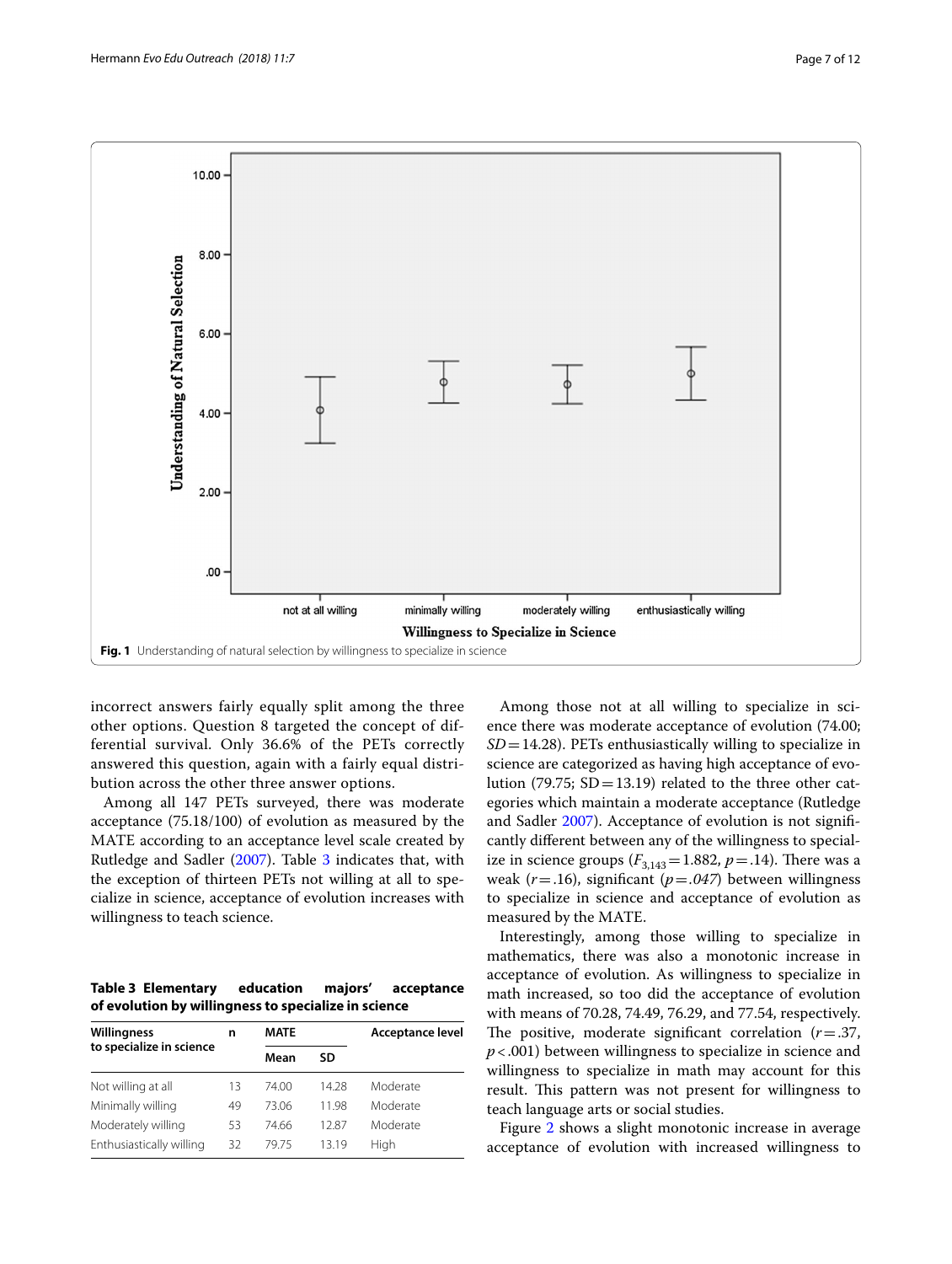

<span id="page-6-0"></span>incorrect answers fairly equally split among the three other options. Question 8 targeted the concept of differential survival. Only 36.6% of the PETs correctly answered this question, again with a fairly equal distribution across the other three answer options.

Among all 147 PETs surveyed, there was moderate acceptance (75.18/100) of evolution as measured by the MATE according to an acceptance level scale created by Rutledge and Sadler [\(2007](#page-11-35)). Table [3](#page-6-1) indicates that, with the exception of thirteen PETs not willing at all to specialize in science, acceptance of evolution increases with willingness to teach science.

<span id="page-6-1"></span>

| <b>Table 3 Elementary</b>                            | education | majors' | acceptance |
|------------------------------------------------------|-----------|---------|------------|
| of evolution by willingness to specialize in science |           |         |            |

| <b>Willingness</b>       | n  | MATE  |       | <b>Acceptance level</b> |
|--------------------------|----|-------|-------|-------------------------|
| to specialize in science |    | Mean  | SD    |                         |
| Not willing at all       | 13 | 74.00 | 14 28 | Moderate                |
| Minimally willing        | 49 | 73.06 | 1198  | Moderate                |
| Moderately willing       | 53 | 74.66 | 12.87 | Moderate                |
| Enthusiastically willing | 32 | 7975  | 13.19 | High                    |

Among those not at all willing to specialize in science there was moderate acceptance of evolution (74.00; *SD*=14.28). PETs enthusiastically willing to specialize in science are categorized as having high acceptance of evolution (79.75;  $SD = 13.19$ ) related to the three other categories which maintain a moderate acceptance (Rutledge and Sadler [2007](#page-11-35)). Acceptance of evolution is not signifcantly diferent between any of the willingness to specialize in science groups  $(F_{3,143}=1.882, p=.14)$ . There was a weak (*r*=.16), signifcant (*p*=*.047*) between willingness to specialize in science and acceptance of evolution as measured by the MATE.

Interestingly, among those willing to specialize in mathematics, there was also a monotonic increase in acceptance of evolution. As willingness to specialize in math increased, so too did the acceptance of evolution with means of 70.28, 74.49, 76.29, and 77.54, respectively. The positive, moderate significant correlation  $(r=.37, ...)$ *p*<.001) between willingness to specialize in science and willingness to specialize in math may account for this result. This pattern was not present for willingness to teach language arts or social studies.

Figure [2](#page-7-0) shows a slight monotonic increase in average acceptance of evolution with increased willingness to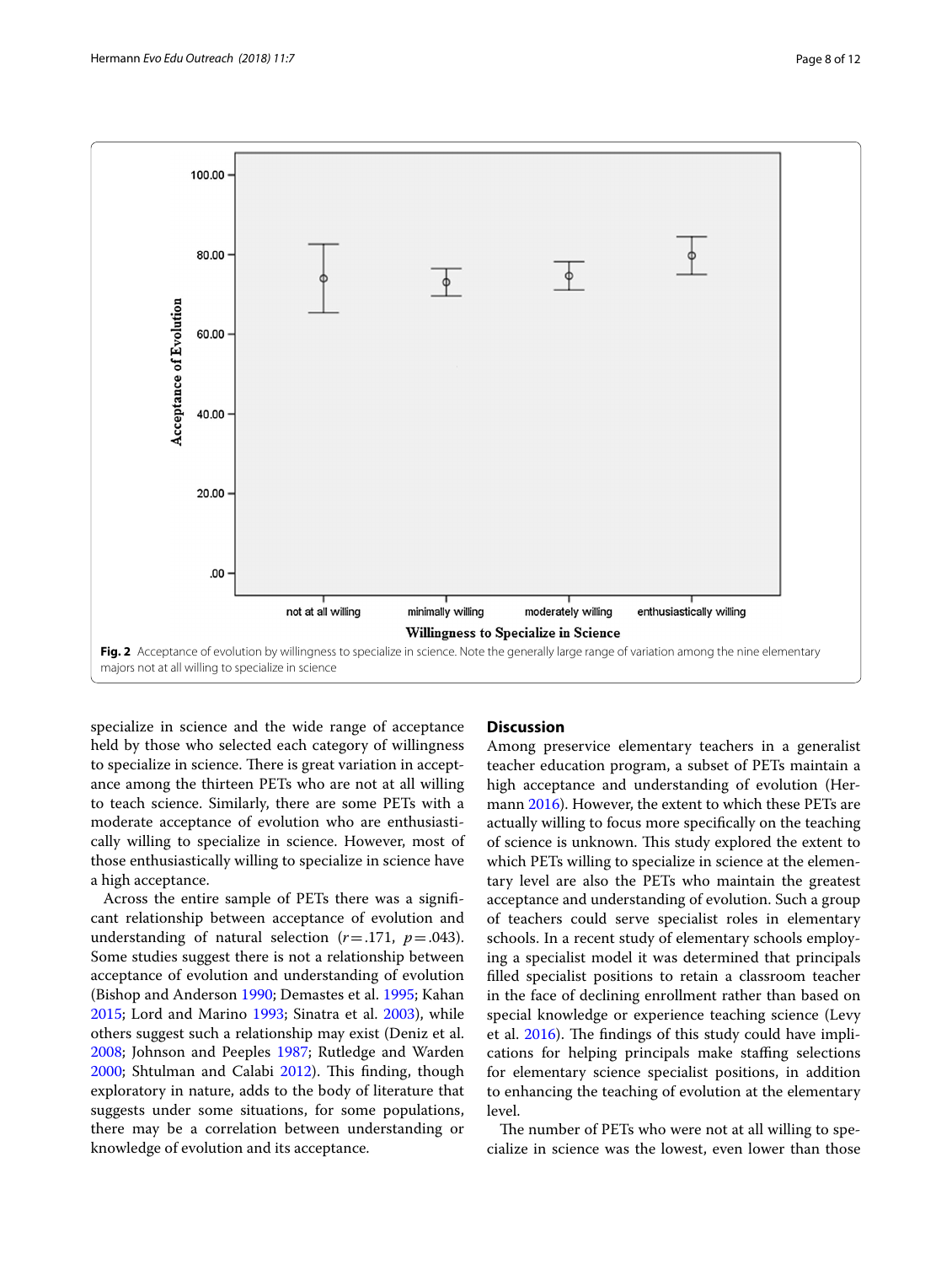



<span id="page-7-0"></span>specialize in science and the wide range of acceptance held by those who selected each category of willingness to specialize in science. There is great variation in acceptance among the thirteen PETs who are not at all willing to teach science. Similarly, there are some PETs with a moderate acceptance of evolution who are enthusiastically willing to specialize in science. However, most of those enthusiastically willing to specialize in science have a high acceptance.

Across the entire sample of PETs there was a signifcant relationship between acceptance of evolution and understanding of natural selection  $(r=.171, p=.043)$ . Some studies suggest there is not a relationship between acceptance of evolution and understanding of evolution (Bishop and Anderson [1990;](#page-10-16) Demastes et al. [1995](#page-10-17); Kahan [2015](#page-11-36); Lord and Marino [1993;](#page-11-37) Sinatra et al. [2003\)](#page-11-38), while others suggest such a relationship may exist (Deniz et al. [2008](#page-10-18); Johnson and Peeples [1987;](#page-11-39) Rutledge and Warden [2000](#page-11-40); Shtulman and Calabi [2012](#page-11-41)). This finding, though exploratory in nature, adds to the body of literature that suggests under some situations, for some populations, there may be a correlation between understanding or knowledge of evolution and its acceptance.

## **Discussion**

Among preservice elementary teachers in a generalist teacher education program, a subset of PETs maintain a high acceptance and understanding of evolution (Her-mann [2016](#page-10-2)). However, the extent to which these PETs are actually willing to focus more specifcally on the teaching of science is unknown. This study explored the extent to which PETs willing to specialize in science at the elementary level are also the PETs who maintain the greatest acceptance and understanding of evolution. Such a group of teachers could serve specialist roles in elementary schools. In a recent study of elementary schools employing a specialist model it was determined that principals flled specialist positions to retain a classroom teacher in the face of declining enrollment rather than based on special knowledge or experience teaching science (Levy et al.  $2016$ ). The findings of this study could have implications for helping principals make staffing selections for elementary science specialist positions, in addition to enhancing the teaching of evolution at the elementary level.

The number of PETs who were not at all willing to specialize in science was the lowest, even lower than those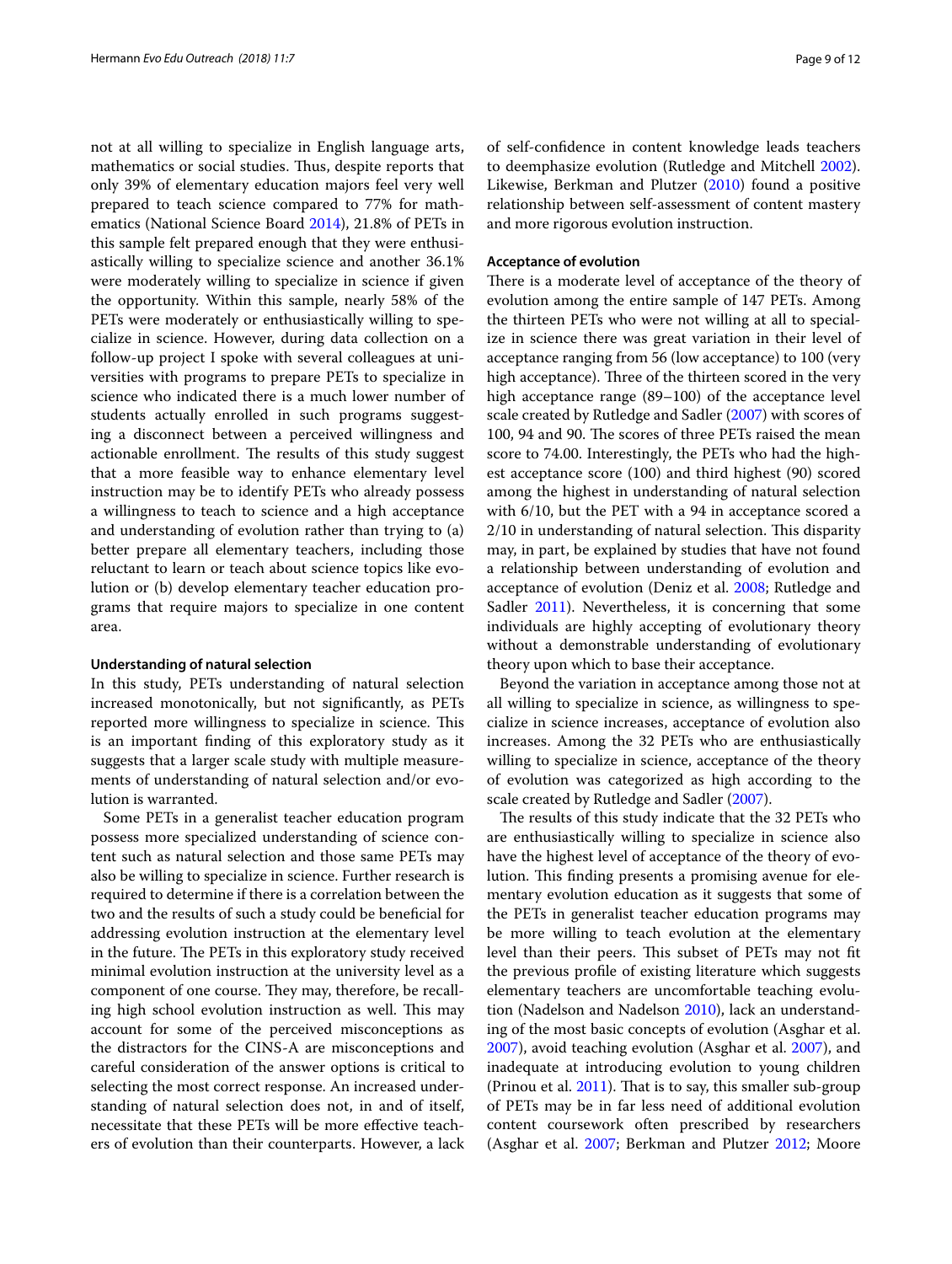not at all willing to specialize in English language arts, mathematics or social studies. Thus, despite reports that only 39% of elementary education majors feel very well prepared to teach science compared to 77% for mathematics (National Science Board [2014](#page-11-43)), 21.8% of PETs in this sample felt prepared enough that they were enthusiastically willing to specialize science and another 36.1% were moderately willing to specialize in science if given the opportunity. Within this sample, nearly 58% of the PETs were moderately or enthusiastically willing to specialize in science. However, during data collection on a follow-up project I spoke with several colleagues at universities with programs to prepare PETs to specialize in science who indicated there is a much lower number of students actually enrolled in such programs suggesting a disconnect between a perceived willingness and actionable enrollment. The results of this study suggest that a more feasible way to enhance elementary level instruction may be to identify PETs who already possess a willingness to teach to science and a high acceptance and understanding of evolution rather than trying to (a) better prepare all elementary teachers, including those reluctant to learn or teach about science topics like evolution or (b) develop elementary teacher education programs that require majors to specialize in one content area.

#### **Understanding of natural selection**

In this study, PETs understanding of natural selection increased monotonically, but not signifcantly, as PETs reported more willingness to specialize in science. This is an important fnding of this exploratory study as it suggests that a larger scale study with multiple measurements of understanding of natural selection and/or evolution is warranted.

Some PETs in a generalist teacher education program possess more specialized understanding of science content such as natural selection and those same PETs may also be willing to specialize in science. Further research is required to determine if there is a correlation between the two and the results of such a study could be benefcial for addressing evolution instruction at the elementary level in the future. The PETs in this exploratory study received minimal evolution instruction at the university level as a component of one course. They may, therefore, be recalling high school evolution instruction as well. This may account for some of the perceived misconceptions as the distractors for the CINS-A are misconceptions and careful consideration of the answer options is critical to selecting the most correct response. An increased understanding of natural selection does not, in and of itself, necessitate that these PETs will be more efective teachers of evolution than their counterparts. However, a lack of self-confdence in content knowledge leads teachers to deemphasize evolution (Rutledge and Mitchell [2002](#page-11-44)). Likewise, Berkman and Plutzer [\(2010](#page-10-19)) found a positive relationship between self-assessment of content mastery and more rigorous evolution instruction.

## **Acceptance of evolution**

There is a moderate level of acceptance of the theory of evolution among the entire sample of 147 PETs. Among the thirteen PETs who were not willing at all to specialize in science there was great variation in their level of acceptance ranging from 56 (low acceptance) to 100 (very high acceptance). Three of the thirteen scored in the very high acceptance range (89–100) of the acceptance level scale created by Rutledge and Sadler [\(2007](#page-11-35)) with scores of 100, 94 and 90. The scores of three PETs raised the mean score to 74.00. Interestingly, the PETs who had the highest acceptance score (100) and third highest (90) scored among the highest in understanding of natural selection with 6/10, but the PET with a 94 in acceptance scored a  $2/10$  in understanding of natural selection. This disparity may, in part, be explained by studies that have not found a relationship between understanding of evolution and acceptance of evolution (Deniz et al. [2008](#page-10-18); Rutledge and Sadler [2011\)](#page-11-45). Nevertheless, it is concerning that some individuals are highly accepting of evolutionary theory without a demonstrable understanding of evolutionary theory upon which to base their acceptance.

Beyond the variation in acceptance among those not at all willing to specialize in science, as willingness to specialize in science increases, acceptance of evolution also increases. Among the 32 PETs who are enthusiastically willing to specialize in science, acceptance of the theory of evolution was categorized as high according to the scale created by Rutledge and Sadler [\(2007\)](#page-11-35).

The results of this study indicate that the 32 PETs who are enthusiastically willing to specialize in science also have the highest level of acceptance of the theory of evolution. This finding presents a promising avenue for elementary evolution education as it suggests that some of the PETs in generalist teacher education programs may be more willing to teach evolution at the elementary level than their peers. This subset of PETs may not fit the previous profle of existing literature which suggests elementary teachers are uncomfortable teaching evolution (Nadelson and Nadelson [2010](#page-11-21)), lack an understanding of the most basic concepts of evolution (Asghar et al. [2007](#page-10-12)), avoid teaching evolution (Asghar et al. [2007](#page-10-12)), and inadequate at introducing evolution to young children (Prinou et al.  $2011$ ). That is to say, this smaller sub-group of PETs may be in far less need of additional evolution content coursework often prescribed by researchers (Asghar et al. [2007;](#page-10-12) Berkman and Plutzer [2012;](#page-10-13) Moore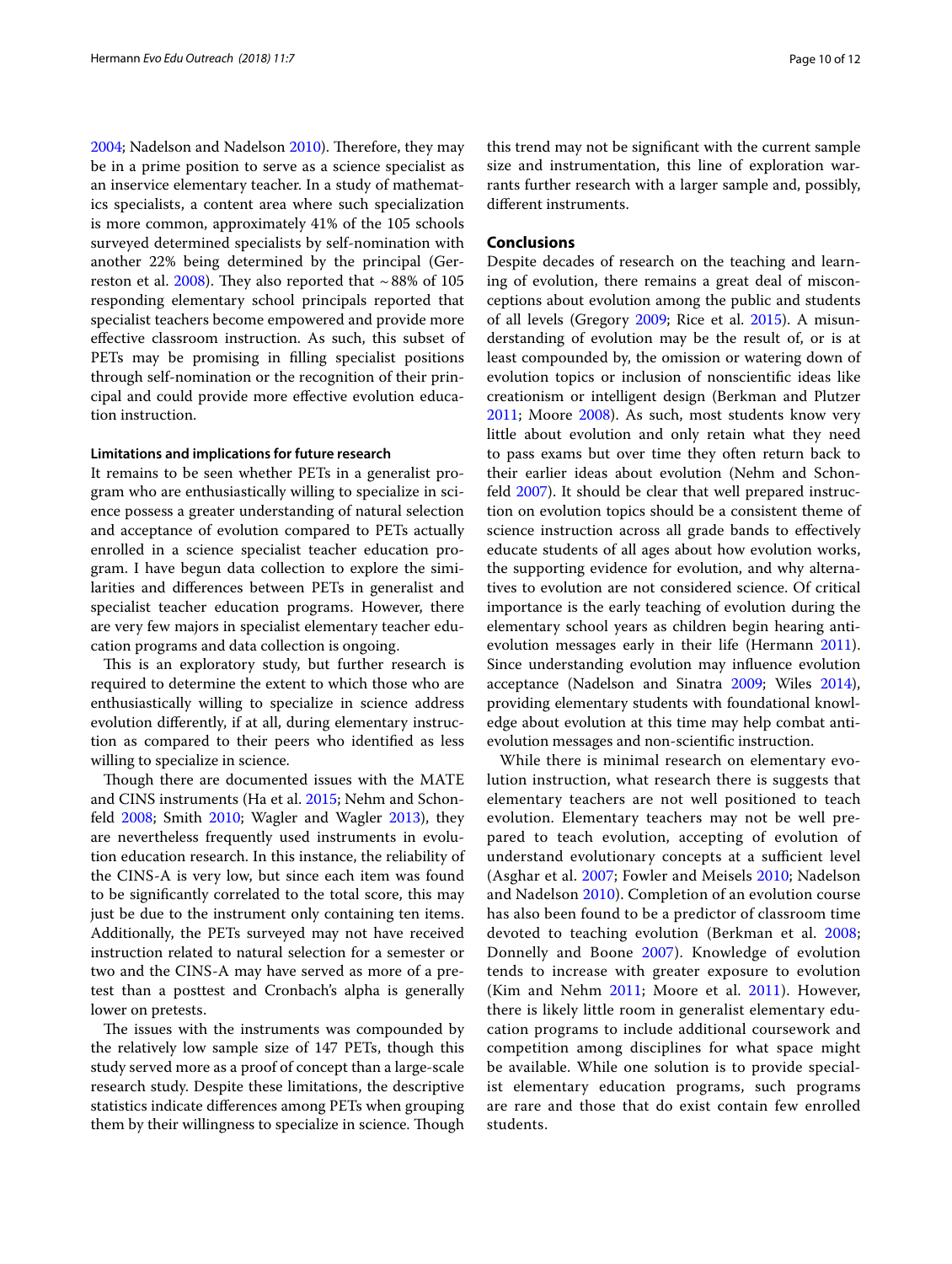[2004](#page-11-23); Nadelson and Nadelson [2010\)](#page-11-21). Therefore, they may be in a prime position to serve as a science specialist as an inservice elementary teacher. In a study of mathematics specialists, a content area where such specialization is more common, approximately 41% of the 105 schools surveyed determined specialists by self-nomination with another 22% being determined by the principal (Ger-reston et al. [2008](#page-11-46)). They also reported that  $\sim 88\%$  of 105 responding elementary school principals reported that specialist teachers become empowered and provide more efective classroom instruction. As such, this subset of PETs may be promising in flling specialist positions through self-nomination or the recognition of their principal and could provide more efective evolution education instruction.

#### **Limitations and implications for future research**

It remains to be seen whether PETs in a generalist program who are enthusiastically willing to specialize in science possess a greater understanding of natural selection and acceptance of evolution compared to PETs actually enrolled in a science specialist teacher education program. I have begun data collection to explore the similarities and diferences between PETs in generalist and specialist teacher education programs. However, there are very few majors in specialist elementary teacher education programs and data collection is ongoing.

This is an exploratory study, but further research is required to determine the extent to which those who are enthusiastically willing to specialize in science address evolution diferently, if at all, during elementary instruction as compared to their peers who identifed as less willing to specialize in science.

Though there are documented issues with the MATE and CINS instruments (Ha et al. [2015](#page-11-47); Nehm and Schonfeld [2008;](#page-11-48) Smith [2010;](#page-11-49) Wagler and Wagler [2013](#page-11-50)), they are nevertheless frequently used instruments in evolution education research. In this instance, the reliability of the CINS-A is very low, but since each item was found to be signifcantly correlated to the total score, this may just be due to the instrument only containing ten items. Additionally, the PETs surveyed may not have received instruction related to natural selection for a semester or two and the CINS-A may have served as more of a pretest than a posttest and Cronbach's alpha is generally lower on pretests.

The issues with the instruments was compounded by the relatively low sample size of 147 PETs, though this study served more as a proof of concept than a large-scale research study. Despite these limitations, the descriptive statistics indicate diferences among PETs when grouping them by their willingness to specialize in science. Though this trend may not be signifcant with the current sample size and instrumentation, this line of exploration warrants further research with a larger sample and, possibly, diferent instruments.

## **Conclusions**

Despite decades of research on the teaching and learning of evolution, there remains a great deal of misconceptions about evolution among the public and students of all levels (Gregory [2009](#page-11-0); Rice et al. [2015](#page-11-51)). A misunderstanding of evolution may be the result of, or is at least compounded by, the omission or watering down of evolution topics or inclusion of nonscientifc ideas like creationism or intelligent design (Berkman and Plutzer [2011](#page-10-20); Moore [2008\)](#page-11-52). As such, most students know very little about evolution and only retain what they need to pass exams but over time they often return back to their earlier ideas about evolution (Nehm and Schonfeld [2007\)](#page-11-8). It should be clear that well prepared instruction on evolution topics should be a consistent theme of science instruction across all grade bands to efectively educate students of all ages about how evolution works, the supporting evidence for evolution, and why alternatives to evolution are not considered science. Of critical importance is the early teaching of evolution during the elementary school years as children begin hearing antievolution messages early in their life (Hermann [2011](#page-10-21)). Since understanding evolution may infuence evolution acceptance (Nadelson and Sinatra [2009](#page-11-17); Wiles [2014](#page-11-1)), providing elementary students with foundational knowledge about evolution at this time may help combat antievolution messages and non-scientifc instruction.

While there is minimal research on elementary evolution instruction, what research there is suggests that elementary teachers are not well positioned to teach evolution. Elementary teachers may not be well prepared to teach evolution, accepting of evolution of understand evolutionary concepts at a sufficient level (Asghar et al. [2007](#page-10-12); Fowler and Meisels [2010;](#page-11-25) Nadelson and Nadelson [2010\)](#page-11-21). Completion of an evolution course has also been found to be a predictor of classroom time devoted to teaching evolution (Berkman et al. [2008](#page-10-22); Donnelly and Boone [2007\)](#page-10-23). Knowledge of evolution tends to increase with greater exposure to evolution (Kim and Nehm [2011;](#page-11-7) Moore et al. [2011\)](#page-11-53). However, there is likely little room in generalist elementary education programs to include additional coursework and competition among disciplines for what space might be available. While one solution is to provide specialist elementary education programs, such programs are rare and those that do exist contain few enrolled students.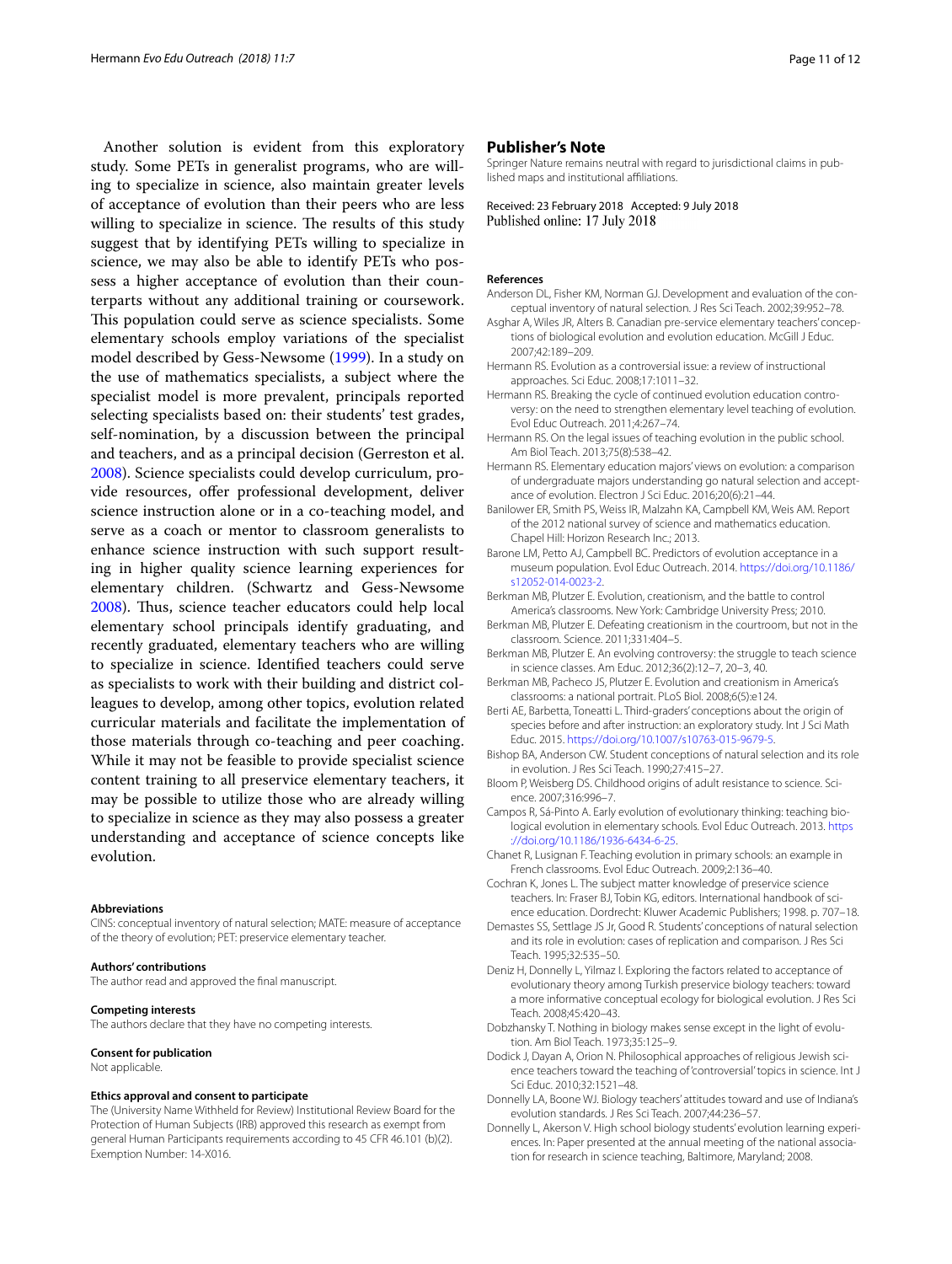Another solution is evident from this exploratory study. Some PETs in generalist programs, who are willing to specialize in science, also maintain greater levels of acceptance of evolution than their peers who are less willing to specialize in science. The results of this study suggest that by identifying PETs willing to specialize in science, we may also be able to identify PETs who possess a higher acceptance of evolution than their counterparts without any additional training or coursework. This population could serve as science specialists. Some elementary schools employ variations of the specialist model described by Gess-Newsome [\(1999](#page-11-26)). In a study on the use of mathematics specialists, a subject where the specialist model is more prevalent, principals reported selecting specialists based on: their students' test grades, self-nomination, by a discussion between the principal and teachers, and as a principal decision (Gerreston et al. [2008](#page-11-46)). Science specialists could develop curriculum, provide resources, offer professional development, deliver science instruction alone or in a co-teaching model, and serve as a coach or mentor to classroom generalists to enhance science instruction with such support resulting in higher quality science learning experiences for elementary children. (Schwartz and Gess-Newsome [2008](#page-11-27)). Thus, science teacher educators could help local elementary school principals identify graduating, and recently graduated, elementary teachers who are willing to specialize in science. Identifed teachers could serve as specialists to work with their building and district colleagues to develop, among other topics, evolution related curricular materials and facilitate the implementation of those materials through co-teaching and peer coaching. While it may not be feasible to provide specialist science content training to all preservice elementary teachers, it may be possible to utilize those who are already willing to specialize in science as they may also possess a greater understanding and acceptance of science concepts like evolution.

#### **Abbreviations**

CINS: conceptual inventory of natural selection; MATE: measure of acceptance of the theory of evolution; PET: preservice elementary teacher.

#### **Authors' contributions**

The author read and approved the fnal manuscript.

#### **Competing interests**

The authors declare that they have no competing interests.

#### **Consent for publication**

Not applicable.

#### **Ethics approval and consent to participate**

The (University Name Withheld for Review) Institutional Review Board for the Protection of Human Subjects (IRB) approved this research as exempt from general Human Participants requirements according to 45 CFR 46.101 (b)(2). Exemption Number: 14-X016.

#### **Publisher's Note**

Springer Nature remains neutral with regard to jurisdictional claims in published maps and institutional afliations.

Received: 23 February 2018 Accepted: 9 July 2018 Published online: 17 July 2018

#### **References**

- <span id="page-10-15"></span>Anderson DL, Fisher KM, Norman GJ. Development and evaluation of the conceptual inventory of natural selection. J Res Sci Teach. 2002;39:952–78.
- <span id="page-10-12"></span>Asghar A, Wiles JR, Alters B. Canadian pre-service elementary teachers' conceptions of biological evolution and evolution education. McGill J Educ. 2007;42:189–209.
- <span id="page-10-0"></span>Hermann RS. Evolution as a controversial issue: a review of instructional approaches. Sci Educ. 2008;17:1011–32.
- <span id="page-10-21"></span>Hermann RS. Breaking the cycle of continued evolution education controversy: on the need to strengthen elementary level teaching of evolution. Evol Educ Outreach. 2011;4:267–74.
- <span id="page-10-1"></span>Hermann RS. On the legal issues of teaching evolution in the public school. Am Biol Teach. 2013;75(8):538–42.
- <span id="page-10-2"></span>Hermann RS. Elementary education majors' views on evolution: a comparison of undergraduate majors understanding go natural selection and acceptance of evolution. Electron J Sci Educ. 2016;20(6):21–44.
- <span id="page-10-14"></span>Banilower ER, Smith PS, Weiss IR, Malzahn KA, Campbell KM, Weis AM. Report of the 2012 national survey of science and mathematics education. Chapel Hill: Horizon Research Inc.; 2013.
- <span id="page-10-4"></span>Barone LM, Petto AJ, Campbell BC. Predictors of evolution acceptance in a museum population. Evol Educ Outreach. 2014. [https://doi.org/10.1186/](https://doi.org/10.1186/s12052-014-0023-2) [s12052-014-0023-2.](https://doi.org/10.1186/s12052-014-0023-2)
- <span id="page-10-19"></span>Berkman MB, Plutzer E. Evolution, creationism, and the battle to control America's classrooms. New York: Cambridge University Press; 2010.
- <span id="page-10-20"></span>Berkman MB, Plutzer E. Defeating creationism in the courtroom, but not in the classroom. Science. 2011;331:404–5.
- <span id="page-10-13"></span>Berkman MB, Plutzer E. An evolving controversy: the struggle to teach science in science classes. Am Educ. 2012;36(2):12–7, 20–3, 40.
- <span id="page-10-22"></span>Berkman MB, Pacheco JS, Plutzer E. Evolution and creationism in America's classrooms: a national portrait. PLoS Biol. 2008;6(5):e124.
- <span id="page-10-8"></span>Berti AE, Barbetta, Toneatti L. Third-graders' conceptions about the origin of species before and after instruction: an exploratory study. Int J Sci Math Educ. 2015. [https://doi.org/10.1007/s10763-015-9679-5.](https://doi.org/10.1007/s10763-015-9679-5)
- <span id="page-10-16"></span>Bishop BA, Anderson CW. Student conceptions of natural selection and its role in evolution. J Res Sci Teach. 1990;27:415–27.
- <span id="page-10-7"></span>Bloom P, Weisberg DS. Childhood origins of adult resistance to science. Science. 2007;316:996–7.
- <span id="page-10-10"></span>Campos R, Sá-Pinto A. Early evolution of evolutionary thinking: teaching biological evolution in elementary schools. Evol Educ Outreach. 2013. [https](https://doi.org/10.1186/1936-6434-6-25) [://doi.org/10.1186/1936-6434-6-25.](https://doi.org/10.1186/1936-6434-6-25)
- <span id="page-10-9"></span>Chanet R, Lusignan F. Teaching evolution in primary schools: an example in French classrooms. Evol Educ Outreach. 2009;2:136–40.
- <span id="page-10-11"></span>Cochran K, Jones L. The subject matter knowledge of preservice science teachers. In: Fraser BJ, Tobin KG, editors. International handbook of science education. Dordrecht: Kluwer Academic Publishers; 1998. p. 707–18.
- <span id="page-10-17"></span>Demastes SS, Settlage JS Jr, Good R. Students' conceptions of natural selection and its role in evolution: cases of replication and comparison. J Res Sci Teach. 1995;32:535–50.
- <span id="page-10-18"></span>Deniz H, Donnelly L, Yilmaz I. Exploring the factors related to acceptance of evolutionary theory among Turkish preservice biology teachers: toward a more informative conceptual ecology for biological evolution. J Res Sci Teach. 2008;45:420–43.
- <span id="page-10-3"></span>Dobzhansky T. Nothing in biology makes sense except in the light of evolution. Am Biol Teach. 1973;35:125–9.
- <span id="page-10-5"></span>Dodick J, Dayan A, Orion N. Philosophical approaches of religious Jewish science teachers toward the teaching of 'controversial' topics in science. Int J Sci Educ. 2010;32:1521–48.
- <span id="page-10-23"></span>Donnelly LA, Boone WJ. Biology teachers' attitudes toward and use of Indiana's evolution standards. J Res Sci Teach. 2007;44:236–57.
- <span id="page-10-6"></span>Donnelly L, Akerson V. High school biology students' evolution learning experiences. In: Paper presented at the annual meeting of the national association for research in science teaching, Baltimore, Maryland; 2008.